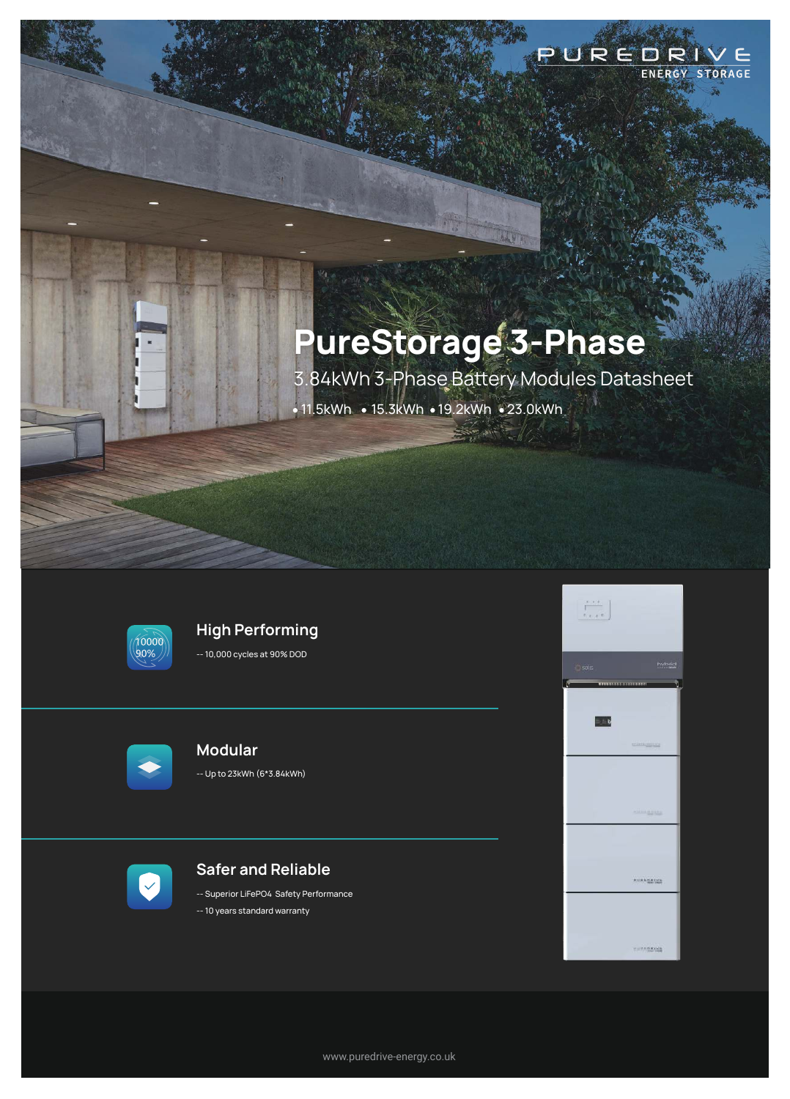# **PureStorage 3-Phase**

3.84kWh 3-Phase Battery Modules Datasheet  $\cdot$  11.5kWh  $\cdot$  15.3kWh  $\cdot$  19.2kWh  $\cdot$  23.0kWh

山川市



# **High Performing**

-- 10,000 cycles at 90% DOD



# **Modular**

-- Up to 23kWh (6\*3.84kWh)



### **Safer and Reliable**

-- Superior LiFePO4 Safety Performance -- 10 years standard warranty



PUREDRIVE

ENERGY STORAGE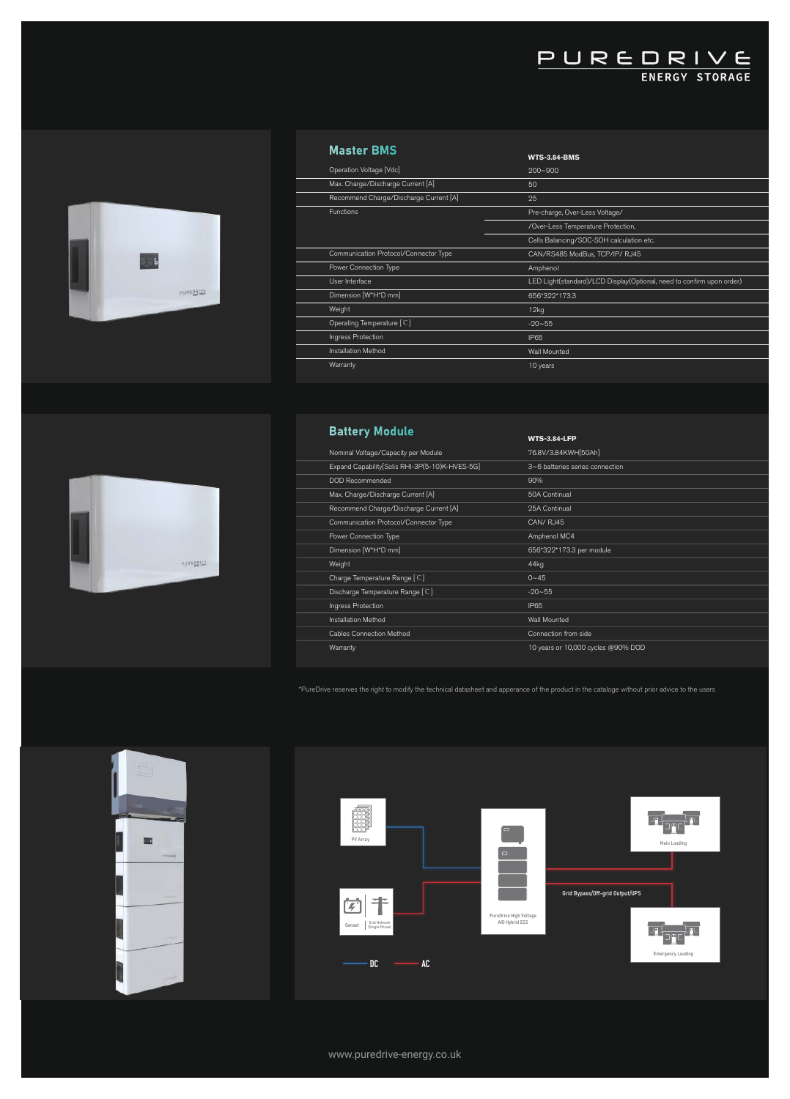#### **Master BMS**



|                                        | <b>WTS-3.84-BMS</b>                                                   |
|----------------------------------------|-----------------------------------------------------------------------|
| Operation Voltage [Vdc]                | $200 - 900$                                                           |
| Max. Charge/Discharge Current [A]      | 50                                                                    |
| Recommend Charge/Discharge Current [A] | 25                                                                    |
| <b>Functions</b>                       | Pre-charge, Over-Less Voltage/                                        |
|                                        | /Over-Less Temperature Protection,                                    |
|                                        | Cells Balancing/SOC-SOH calculation etc.                              |
| Communication Protocol/Connector Type  | CAN/RS485 ModBus, TCP/IP/RJ45                                         |
| Power Connection Type                  | Amphenol                                                              |
| User Interface                         | LED Light(standard)/LCD Display(Optional, need to confirm upon order) |
| Dimension [W*H*D mm]                   | 656*322*173.3                                                         |
| Weight                                 | 12kg                                                                  |
| Operating Temperature [C]              | $-20 - 55$                                                            |
| Ingress Protection                     | IP65                                                                  |
| Installation Method                    | Wall Mounted                                                          |
| Warranty                               | 10 years                                                              |
|                                        |                                                                       |

PUREDRIVE

#### **Battery Module**

| <b>Dattery Mounter</b>                         | <b>WTS-3.84-LFP</b>                |
|------------------------------------------------|------------------------------------|
| Nominal Voltage/Capacity per Module            | 76.8V/3.84KWH[50Ah]                |
| Expand Capability[Solis RHI-3P(5-10)K-HVES-5G] | 3~6 batteries series connection    |
| DOD Recommended                                | 90%                                |
| Max. Charge/Discharge Current [A]              | 50A Continual                      |
| Recommend Charge/Discharge Current [A]         | 25A Continual                      |
| Communication Protocol/Connector Type          | CAN/RJ45                           |
| Power Connection Type                          | Amphenol MC4                       |
| Dimension [W*H*D mm]                           | 656*322*173.3 per module           |
| Weight                                         | 44kg                               |
| Charge Temperature Range [C]                   | $0 - 45$                           |
| Discharge Temperature Range [C]                | $-20 - 55$                         |
| Ingress Protection                             | IP65                               |
| Installation Method                            | Wall Mounted                       |
| Cables Connection Method                       | Connection from side               |
| Warranty                                       | 10 years or 10,000 cycles @90% DOD |
|                                                |                                    |

\*PureDrive reserves the right to modify the technical datasheet and apperance of the product in the cataloge without prior advice to the users





**BID** 

www.puredrive-energy.co.uk